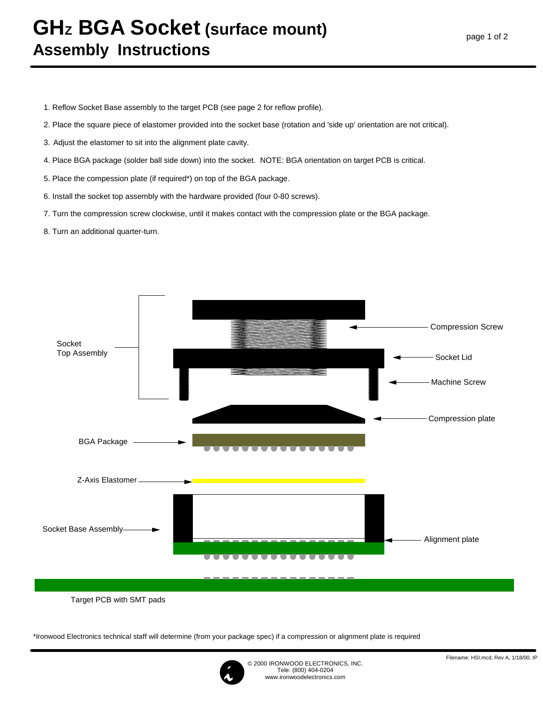## **GHz BGA Socket (surface mount) Assembly Instructions**

- 1. Reflow Socket Base assembly to the target PCB (see page 2 for reflow profile).
- 2. Place the square piece of elastomer provided into the socket base (rotation and 'side up' orientation are not critical).
- 3. Adjust the elastomer to sit into the alignment plate cavity.
- 4. Place BGA package (solder ball side down) into the socket. NOTE: BGA orientation on target PCB is critical.
- 5. Place the compession plate (if required\*) on top of the BGA package.
- 6. Install the socket top assembly with the hardware provided (four 0-80 screws).
- 7. Turn the compression screw clockwise, until it makes contact with the compression plate or the BGA package.
- 8. Turn an additional quarter-turn.



Target PCB with SMT pads

\*Ironwood Electronics technical staff will determine (from your package spec) if a compression or alignment plate is required